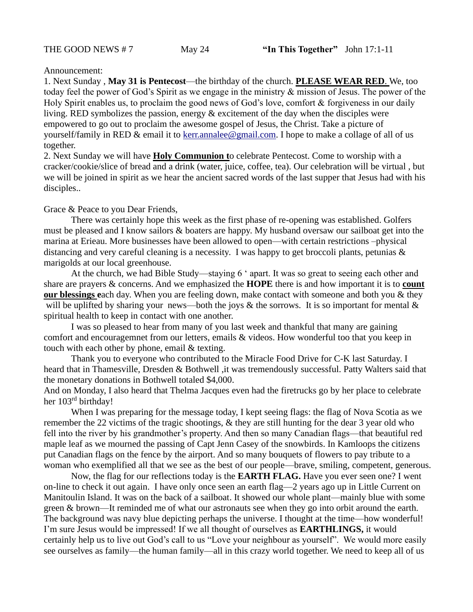## Announcement:

1. Next Sunday , **May 31 is Pentecost**—the birthday of the church. **PLEASE WEAR RED**. We, too today feel the power of God's Spirit as we engage in the ministry & mission of Jesus. The power of the Holy Spirit enables us, to proclaim the good news of God's love, comfort & forgiveness in our daily living. RED symbolizes the passion, energy  $\&$  excitement of the day when the disciples were empowered to go out to proclaim the awesome gospel of Jesus, the Christ. Take a picture of yourself/family in RED & email it to [kerr.annalee@gmail.com.](mailto:kerr.annalee@gmail.com) I hope to make a collage of all of us together.

2. Next Sunday we will have **Holy Communion t**o celebrate Pentecost. Come to worship with a cracker/cookie/slice of bread and a drink (water, juice, coffee, tea). Our celebration will be virtual , but we will be joined in spirit as we hear the ancient sacred words of the last supper that Jesus had with his disciples..

## Grace & Peace to you Dear Friends,

There was certainly hope this week as the first phase of re-opening was established. Golfers must be pleased and I know sailors & boaters are happy. My husband oversaw our sailboat get into the marina at Erieau. More businesses have been allowed to open—with certain restrictions –physical distancing and very careful cleaning is a necessity. I was happy to get broccoli plants, petunias & marigolds at our local greenhouse.

At the church, we had Bible Study—staying 6 ' apart. It was so great to seeing each other and share are prayers & concerns. And we emphasized the **HOPE** there is and how important it is to **count our blessings e**ach day. When you are feeling down, make contact with someone and both you & they will be uplifted by sharing your news—both the joys  $\&$  the sorrows. It is so important for mental  $\&$ spiritual health to keep in contact with one another.

I was so pleased to hear from many of you last week and thankful that many are gaining comfort and encouragemnet from our letters, emails & videos. How wonderful too that you keep in touch with each other by phone, email & texting.

Thank you to everyone who contributed to the Miracle Food Drive for C-K last Saturday. I heard that in Thamesville, Dresden & Bothwell ,it was tremendously successful. Patty Walters said that the monetary donations in Bothwell totaled \$4,000.

And on Monday, I also heard that Thelma Jacques even had the firetrucks go by her place to celebrate her 103<sup>rd</sup> birthday!

When I was preparing for the message today, I kept seeing flags: the flag of Nova Scotia as we remember the 22 victims of the tragic shootings, & they are still hunting for the dear 3 year old who fell into the river by his grandmother's property. And then so many Canadian flags—that beautiful red maple leaf as we mourned the passing of Capt Jenn Casey of the snowbirds. In Kamloops the citizens put Canadian flags on the fence by the airport. And so many bouquets of flowers to pay tribute to a woman who exemplified all that we see as the best of our people—brave, smiling, competent, generous.

Now, the flag for our reflections today is the **EARTH FLAG.** Have you ever seen one? I went on-line to check it out again. I have only once seen an earth flag—2 years ago up in Little Current on Manitoulin Island. It was on the back of a sailboat. It showed our whole plant—mainly blue with some green & brown—It reminded me of what our astronauts see when they go into orbit around the earth. The background was navy blue depicting perhaps the universe. I thought at the time—how wonderful! I'm sure Jesus would be impressed! If we all thought of ourselves as **EARTHLINGS,** it would certainly help us to live out God's call to us "Love your neighbour as yourself". We would more easily see ourselves as family—the human family—all in this crazy world together. We need to keep all of us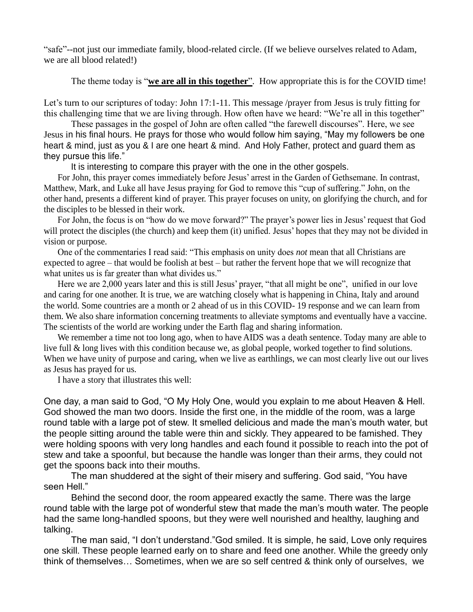"safe"--not just our immediate family, blood-related circle. (If we believe ourselves related to Adam, we are all blood related!)

The theme today is "**we are all in this together**". How appropriate this is for the COVID time!

Let's turn to our scriptures of today: John 17:1-11. This message /prayer from Jesus is truly fitting for this challenging time that we are living through. How often have we heard: "We're all in this together"

These passages in the gospel of John are often called "the farewell discourses". Here, we see Jesus in his final hours. He prays for those who would follow him saying, "May my followers be one heart & mind, just as you & I are one heart & mind. And Holy Father, protect and guard them as they pursue this life."

It is interesting to compare this prayer with the one in the other gospels.

For John, this prayer comes immediately before Jesus' arrest in the Garden of Gethsemane. In contrast, Matthew, Mark, and Luke all have Jesus praying for God to remove this "cup of suffering." John, on the other hand, presents a different kind of prayer. This prayer focuses on unity, on glorifying the church, and for the disciples to be blessed in their work.

For John, the focus is on "how do we move forward?" The prayer's power lies in Jesus' request that God will protect the disciples (the church) and keep them (it) unified. Jesus' hopes that they may not be divided in vision or purpose.

One of the commentaries I read said: "This emphasis on unity does *not* mean that all Christians are expected to agree – that would be foolish at best – but rather the fervent hope that we will recognize that what unites us is far greater than what divides us."

Here we are 2,000 years later and this is still Jesus' prayer, "that all might be one", unified in our love and caring for one another. It is true, we are watching closely what is happening in China, Italy and around the world. Some countries are a month or 2 ahead of us in this COVID- 19 response and we can learn from them. We also share information concerning treatments to alleviate symptoms and eventually have a vaccine. The scientists of the world are working under the Earth flag and sharing information.

We remember a time not too long ago, when to have AIDS was a death sentence. Today many are able to live full & long lives with this condition because we, as global people, worked together to find solutions. When we have unity of purpose and caring, when we live as earthlings, we can most clearly live out our lives as Jesus has prayed for us.

I have a story that illustrates this well:

One day, a man said to God, "O My Holy One, would you explain to me about Heaven & Hell. God showed the man two doors. Inside the first one, in the middle of the room, was a large round table with a large pot of stew. It smelled delicious and made the man's mouth water, but the people sitting around the table were thin and sickly. They appeared to be famished. They were holding spoons with very long handles and each found it possible to reach into the pot of stew and take a spoonful, but because the handle was longer than their arms, they could not get the spoons back into their mouths.

The man shuddered at the sight of their misery and suffering. God said, "You have seen Hell."

Behind the second door, the room appeared exactly the same. There was the large round table with the large pot of wonderful stew that made the man's mouth water. The people had the same long-handled spoons, but they were well nourished and healthy, laughing and talking.

The man said, "I don't understand."God smiled. It is simple, he said, Love only requires one skill. These people learned early on to share and feed one another. While the greedy only think of themselves… Sometimes, when we are so self centred & think only of ourselves, we